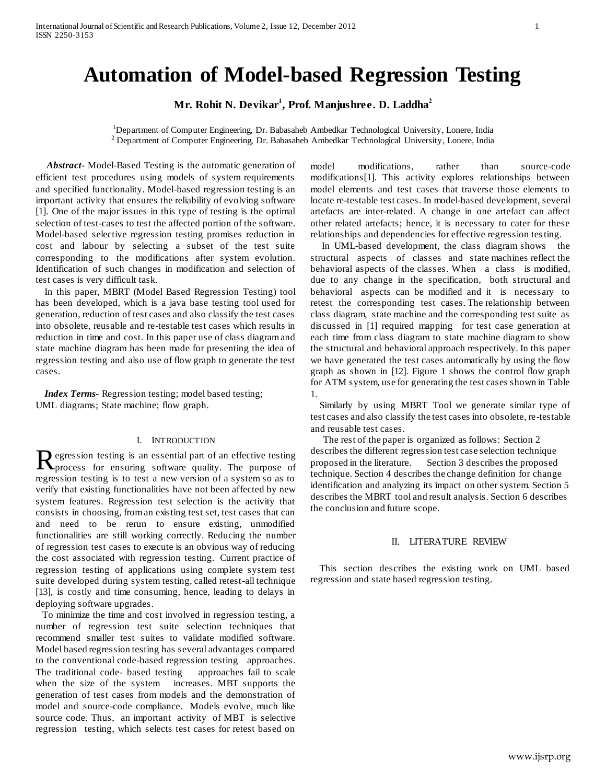# **Automation of Model-based Regression Testing**

**Mr. Rohit N. Devikar<sup>1</sup> , Prof. Manjushree. D. Laddha<sup>2</sup>**

<sup>1</sup>Department of Computer Engineering, Dr. Babasaheb Ambedkar Technological University, Lonere, India <sup>2</sup> Department of Computer Engineering, Dr. Babasaheb Ambedkar Technological University, Lonere, India

 *Abstract-* Model-Based Testing is the automatic generation of efficient test procedures using models of system requirements and specified functionality. Model-based regression testing is an important activity that ensures the reliability of evolving software [1]. One of the major issues in this type of testing is the optimal selection of test-cases to test the affected portion of the software. Model-based selective regression testing promises reduction in cost and labour by selecting a subset of the test suite corresponding to the modifications after system evolution. Identification of such changes in modification and selection of test cases is very difficult task.

 In this paper, MBRT (Model Based Regression Testing) tool has been developed, which is a java base testing tool used for generation, reduction of test cases and also classify the test cases into obsolete, reusable and re-testable test cases which results in reduction in time and cost. In this paper use of class diagram and state machine diagram has been made for presenting the idea of regression testing and also use of flow graph to generate the test cases.

*Index Terms-* Regression testing; model based testing; UML diagrams; State machine; flow graph.

#### I. INTRODUCTION

egression testing is an essential part of an effective testing Regression testing is an essential part of an effective testing<br>process for ensuring software quality. The purpose of regression testing is to test a new version of a system so as to verify that existing functionalities have not been affected by new system features. Regression test selection is the activity that consists in choosing, from an existing test set, test cases that can and need to be rerun to ensure existing, unmodified functionalities are still working correctly. Reducing the number of regression test cases to execute is an obvious way of reducing the cost associated with regression testing. Current practice of regression testing of applications using complete system test suite developed during system testing, called retest-all technique [13], is costly and time consuming, hence, leading to delays in deploying software upgrades.

 To minimize the time and cost involved in regression testing, a number of regression test suite selection techniques that recommend smaller test suites to validate modified software. Model based regression testing has several advantages compared to the conventional code-based regression testing approaches. The traditional code- based testing approaches fail to scale when the size of the system increases. MBT supports the generation of test cases from models and the demonstration of model and source-code compliance. Models evolve, much like source code. Thus, an important activity of MBT is selective regression testing, which selects test cases for retest based on

model modifications, rather than source-code modifications[1]. This activity explores relationships between model elements and test cases that traverse those elements to locate re-testable test cases. In model-based development, several artefacts are inter-related. A change in one artefact can affect other related artefacts; hence, it is necessary to cater for these relationships and dependencies for effective regression testing.

 In UML-based development, the class diagram shows the structural aspects of classes and state machines reflect the behavioral aspects of the classes. When a class is modified, due to any change in the specification, both structural and behavioral aspects can be modified and it is necessary to retest the corresponding test cases. The relationship between class diagram, state machine and the corresponding test suite as discussed in [1] required mapping for test case generation at each time from class diagram to state machine diagram to show the structural and behavioral approach respectively. In this paper we have generated the test cases automatically by using the flow graph as shown in [12]. Figure 1 shows the control flow graph for ATM system, use for generating the test cases shown in Table 1.

 Similarly by using MBRT Tool we generate similar type of test cases and also classify the test cases into obsolete, re-testable and reusable test cases.

 The rest of the paper is organized as follows: Section 2 describes the different regression test case selection technique proposed in the literature. Section 3 describes the proposed technique. Section 4 describes the change definition for change identification and analyzing its impact on other system. Section 5 describes the MBRT tool and result analysis. Section 6 describes the conclusion and future scope.

#### II. LITERATURE REVIEW

 This section describes the existing work on UML based regression and state based regression testing.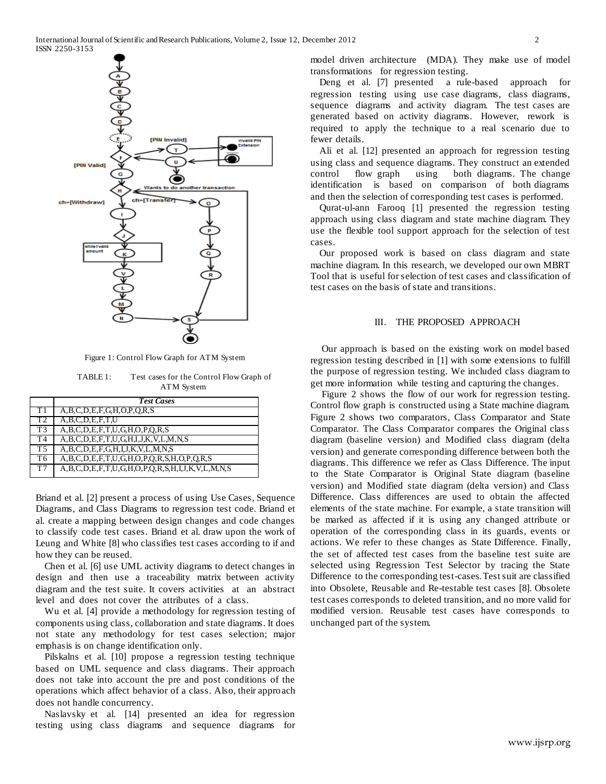

Figure 1: Control Flow Graph for ATM System

TABLE 1: Test cases for the Control Flow Graph of ATM System

|                | <b>Test Cases</b>                                                        |
|----------------|--------------------------------------------------------------------------|
|                | A, B, C, D, E, F, G, H, O, P, Q, R, S                                    |
| T <sub>2</sub> | A, B, C, D, E, F, T, U                                                   |
| T <sub>3</sub> | $A, B, C, D, E, F, T, U, G, H, O, P, Q, R, S$                            |
| T <sub>4</sub> | $A, B, C, D, E, F, T, U, G, H, I, J, K, V, L, M, N, S$                   |
| T <sub>5</sub> | $A, B, C, D, E, F, G, H, I, J, K, V, L, M, N, S$                         |
| T6             | $A, B, C, D, E, F, T, U, G, H, O, P, Q, R, S, H, O, P, Q, R, S$          |
| T7             | $A, B, C, D, E, F, T, U, G, H, O, P, Q, R, S, H, I, J, K, V, L, M, N, S$ |

Briand et al. [2] present a process of using Use Cases, Sequence Diagrams, and Class Diagrams to regression test code. Briand et al. create a mapping between design changes and code changes to classify code test cases. Briand et al. draw upon the work of Leung and White [8] who classifies test cases according to if and how they can be reused.

 Chen et al. [6] use UML activity diagrams to detect changes in design and then use a traceability matrix between activity diagram and the test suite. It covers activities at an abstract level and does not cover the attributes of a class.

 Wu et al. [4] provide a methodology for regression testing of components using class, collaboration and state diagrams. It does not state any methodology for test cases selection; major emphasis is on change identification only.

 Pilskalns et al. [10] propose a regression testing technique based on UML sequence and class diagrams. Their approach does not take into account the pre and post conditions of the operations which affect behavior of a class. Also, their approach does not handle concurrency.

 Naslavsky et al. [14] presented an idea for regression testing using class diagrams and sequence diagrams for model driven architecture (MDA). They make use of model transformations for regression testing.

 Deng et al. [7] presented a rule-based approach for regression testing using use case diagrams, class diagrams, sequence diagrams and activity diagram. The test cases are generated based on activity diagrams. However, rework is required to apply the technique to a real scenario due to fewer details.

 Ali et al. [12] presented an approach for regression testing using class and sequence diagrams. They construct an extended control flow graph using both diagrams. The change identification is based on comparison of both diagrams and then the selection of corresponding test cases is performed.

 Qurat-ul-ann Farooq [1] presented the regression testing approach using class diagram and state machine diagram. They use the flexible tool support approach for the selection of test cases.

 Our proposed work is based on class diagram and state machine diagram. In this research, we developed our own MBRT Tool that is useful for selection of test cases and classification of test cases on the basis of state and transitions.

# III. THE PROPOSED APPROACH

 Our approach is based on the existing work on model based regression testing described in [1] with some extensions to fulfill the purpose of regression testing. We included class diagram to get more information while testing and capturing the changes.

 Figure 2 shows the flow of our work for regression testing. Control flow graph is constructed using a State machine diagram. Figure 2 shows two comparators, Class Comparator and State Comparator. The Class Comparator compares the Original class diagram (baseline version) and Modified class diagram (delta version) and generate corresponding difference between both the diagrams. This difference we refer as Class Difference. The input to the State Comparator is Original State diagram (baseline version) and Modified state diagram (delta version) and Class Difference. Class differences are used to obtain the affected elements of the state machine. For example, a state transition will be marked as affected if it is using any changed attribute or operation of the corresponding class in its guards, events or actions. We refer to these changes as State Difference. Finally, the set of affected test cases from the baseline test suite are selected using Regression Test Selector by tracing the State Difference to the corresponding test-cases. Test suit are classified into Obsolete, Reusable and Re-testable test cases [8]. Obsolete test cases corresponds to deleted transition, and no more valid for modified version. Reusable test cases have corresponds to unchanged part of the system.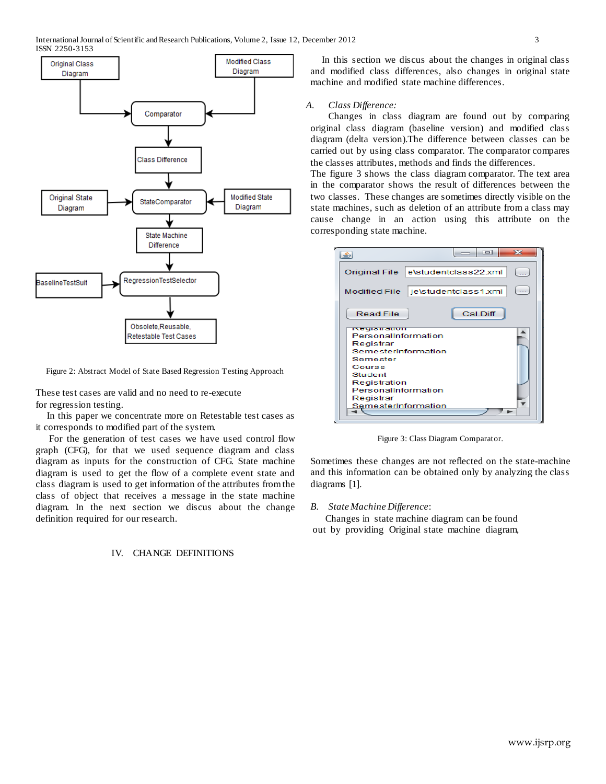

Figure 2: Abstract Model of State Based Regression Testing Approach

These test cases are valid and no need to re-execute for regression testing.

 In this paper we concentrate more on Retestable test cases as it corresponds to modified part of the system.

 For the generation of test cases we have used control flow graph (CFG), for that we used sequence diagram and class diagram as inputs for the construction of CFG. State machine diagram is used to get the flow of a complete event state and class diagram is used to get information of the attributes from the class of object that receives a message in the state machine diagram. In the next section we discus about the change definition required for our research.

## IV. CHANGE DEFINITIONS

 In this section we discus about the changes in original class and modified class differences, also changes in original state machine and modified state machine differences.

#### *A. Class Difference:*

 Changes in class diagram are found out by comparing original class diagram (baseline version) and modified class diagram (delta version).The difference between classes can be carried out by using class comparator. The comparator compares the classes attributes, methods and finds the differences.

The figure 3 shows the class diagram comparator. The text area in the comparator shows the result of differences between the two classes. These changes are sometimes directly visible on the state machines, such as deletion of an attribute from a class may cause change in an action using this attribute on the corresponding state machine.

|                                                                                                                                                                                            | 53<br>$\Box$         |  |  |
|--------------------------------------------------------------------------------------------------------------------------------------------------------------------------------------------|----------------------|--|--|
| Original File                                                                                                                                                                              | e\studentclass22.xml |  |  |
| <b>Modified File</b>                                                                                                                                                                       | je\studentclass1.xml |  |  |
| <b>Read File</b>                                                                                                                                                                           | Cal.Diff             |  |  |
| <b>Registration</b><br>PersonalInformation<br>Registrar<br>SemesterInformation<br>Semester<br>Course<br>Student<br>Registration<br>PersonalInformation<br>Registrar<br>SemesterInformation |                      |  |  |

Figure 3: Class Diagram Comparator.

Sometimes these changes are not reflected on the state-machine and this information can be obtained only by analyzing the class diagrams [1].

*B. State Machine Difference*:

 Changes in state machine diagram can be found out by providing Original state machine diagram,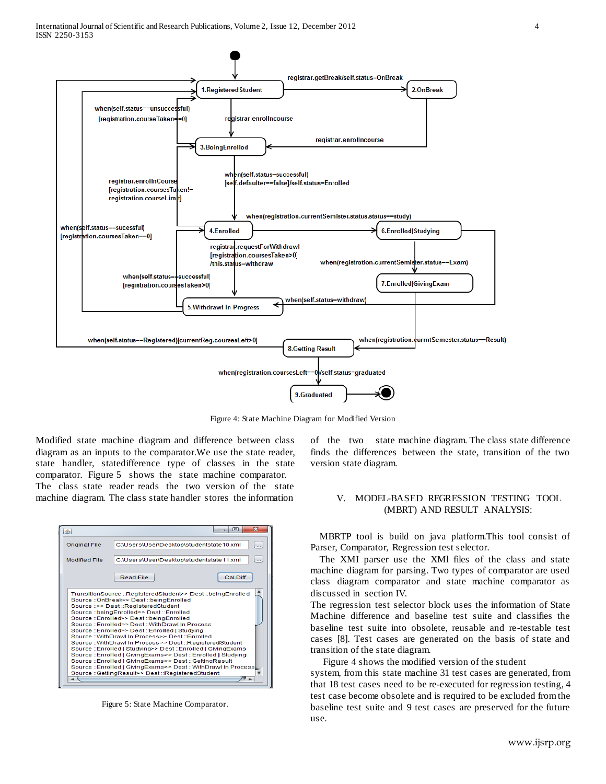

Figure 4: State Machine Diagram for Modified Version

Modified state machine diagram and difference between class diagram as an inputs to the comparator.We use the state reader, state handler, statedifference type of classes in the state comparator. Figure 5 shows the state machine comparator.

The class state reader reads the two version of the state machine diagram. The class state handler stores the information



Figure 5: State Machine Comparator.

of the two state machine diagram. The class state difference finds the differences between the state, transition of the two version state diagram.

#### V. MODEL-BASED REGRESSION TESTING TOOL (MBRT) AND RESULT ANALYSIS:

 MBRTP tool is build on java platform.This tool consist of Parser, Comparator, Regression test selector.

 The XMI parser use the XMl files of the class and state machine diagram for parsing. Two types of comparator are used class diagram comparator and state machine comparator as discussed in section IV.

The regression test selector block uses the information of State Machine difference and baseline test suite and classifies the baseline test suite into obsolete, reusable and re-testable test cases [8]. Test cases are generated on the basis of state and transition of the state diagram.

Figure 4 shows the modified version of the student

system, from this state machine 31 test cases are generated, from that 18 test cases need to be re-executed for regression testing, 4 test case become obsolete and is required to be excluded from the baseline test suite and 9 test cases are preserved for the future use.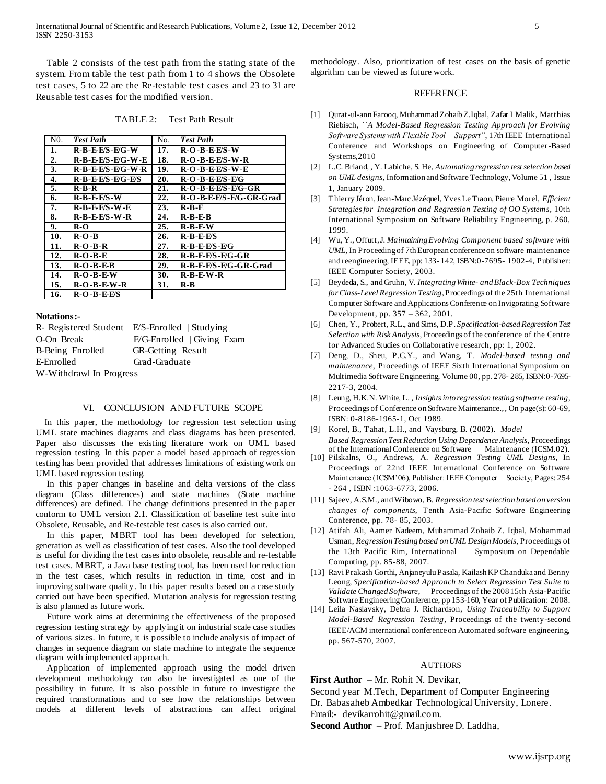Table 2 consists of the test path from the stating state of the system. From table the test path from 1 to 4 shows the Obsolete test cases, 5 to 22 are the Re-testable test cases and 23 to 31 are Reusable test cases for the modified version.

TABLE 2: Test Path Result

| N <sub>0</sub> . | <b>Test Path</b>       | No. | <b>Test Path</b>        |
|------------------|------------------------|-----|-------------------------|
| 1.               | <b>R-B-E-F/S-F/G-W</b> | 17. | $R-O-B-EES-W$           |
| 2.               | $R-B-EES-E/G-W-E$      | 18. | $R-O-B-EES-W-R$         |
| 3.               | $R-B-EES-E/G-W-R$      | 19. | $R-O-B-EES-W-E$         |
| 4.               | $R-B-EES-E/G-E/S$      | 20. | $R-O-B-EES-E/G$         |
| 5.               | $R-B-R$                | 21. | R-O-B-E-E/S-E/G-GR      |
| 6.               | $R-B-EES-W$            | 22. | R-O-B-E-E/S-E/G-GR-Grad |
| 7.               | $R-B-EES-W-E$          | 23. | $R-B-E$                 |
| 8.               | $R-B-EES-W-R$          | 24. | $R-B-E$                 |
| 9.               | R-O                    | 25. | $R-B-EW$                |
| 10.              | $R-O-B$                | 26. | $R-B-EES$               |
| 11.              | $R-O-B-R$              | 27. | $R-B-EES-E/G$           |
| 12.              | $R-O-B-E$              | 28. | $R-B-EES-E/G-GR$        |
| 13.              | $R-O-B-E-B$            | 29. | R-B-E-E/S-E/G-GR-Grad   |
| 14.              | $R-O-B-E-W$            | 30. | $R-B-EW-R$              |
| 15.              | $R-O-B-E-W-R$          | 31. | R-B                     |
| 16.              | <b>R-O-B-E-E/S</b>     |     |                         |

## **Notations:-**

|                         | R- Registered Student E/S-Enrolled   Studying |  |  |  |
|-------------------------|-----------------------------------------------|--|--|--|
| O-On Break              | $E/G$ -Enrolled   Giving Exam                 |  |  |  |
| B-Being Enrolled        | <b>GR-Getting Result</b>                      |  |  |  |
| E-Enrolled              | Grad-Graduate                                 |  |  |  |
| W-Withdrawl In Progress |                                               |  |  |  |

#### VI. CONCLUSION AND FUTURE SCOPE

 In this paper, the methodology for regression test selection using UML state machines diagrams and class diagrams has been presented. Paper also discusses the existing literature work on UML based regression testing. In this paper a model based approach of regression testing has been provided that addresses limitations of existing work on UML based regression testing.

 In this paper changes in baseline and delta versions of the class diagram (Class differences) and state machines (State machine differences) are defined. The change definitions presented in the paper conform to UML version 2.1. Classification of baseline test suite into Obsolete, Reusable, and Re-testable test cases is also carried out.

 In this paper, MBRT tool has been developed for selection, generation as well as classification of test cases. Also the tool developed is useful for dividing the test cases into obsolete, reusable and re-testable test cases. MBRT, a Java base testing tool, has been used for reduction in the test cases, which results in reduction in time, cost and in improving software quality. In this paper results based on a case study carried out have been specified. Mutation analysis for regression testing is also planned as future work.

 Future work aims at determining the effectiveness of the proposed regression testing strategy by applying it on industrial scale case studies of various sizes. In future, it is possible to include analysis of impact of changes in sequence diagram on state machine to integrate the sequence diagram with implemented approach.

 Application of implemented approach using the model driven development methodology can also be investigated as one of the possibility in future. It is also possible in future to investigate the required transformations and to see how the relationships between models at different levels of abstractions can affect original methodology. Also, prioritization of test cases on the basis of genetic algorithm can be viewed as future work.

#### REFERENCE

- [1] Qurat-ul-ann Farooq, Muhammad Zohaib Z.Iqbal, Zafar I Malik, Matthias Riebisch, ``*A Model-Based Regression Testing Approach for Evolving Software Systems with Flexible Tool Support"*, 17th IEEE International Conference and Workshops on Engineering of Computer-Based Systems,2010
- [2] L.C. Briand, , Y. Labiche, S. He, *Automating regression test selection based on UML designs*, Information and Software Technology, Volume 51 , Issue 1, January 2009.
- [3] Thierry Jéron, Jean-Marc Jézéquel, Yves Le Traon, Pierre Morel, *Efficient Strategies for Integration and Regression Testing of OO Systems*, 10th International Symposium on Software Reliability Engineering, p. 260, 1999.
- [4] Wu, Y., Offutt, J*. Maintaining Evolving Component based software with UML*, In Proceeding of 7th European conference on software maintenance and reengineering, IEEE, pp: 133- 142, ISBN:0-7695- 1902-4, Publisher: IEEE Computer Society, 2003.
- [5] Beydeda, S., and Gruhn, V. *Integrating White- and Black-Box Techniques for Class-Level Regression Testing*, Proceedings of the 25th International Computer Software and Applications Conference on Invigorating Software Development, pp. 357 – 362, 2001.
- [6] Chen, Y., Probert, R.L., and Sims, D.P*. Specification-based Regression Test Selection with Risk Analysis*, Proceedings of the conference of the Centre for Advanced Studies on Collaborative research, pp: 1, 2002.
- [7] Deng, D., Sheu, P.C.Y., and Wang, T. *Model-based testing and maintenance*, Proceedings of IEEE Sixth International Symposium on Multimedia Software Engineering, Volume 00, pp. 278- 285, ISBN:0-7695- 2217-3, 2004.
- [8] Leung, H.K.N. White, L. , *Insights into regression testing software testing*, Proceedings of Conference on Software Maintenance., , On page(s): 60-69, ISBN: 0-8186-1965-1, Oct 1989.
- [9] Korel, B., Tahat, L.H., and Vaysburg, B. (2002). *Model Based Regression Test Reduction Using Dependence Analysis*, Proceedings of the International Conference on Software Maintenance (ICSM.02).
- [10] Pilskalns, O., Andrews, A. *Regression Testing UML Designs*, In Proceedings of 22nd IEEE International Conference on Software Maintenance (ICSM'06), Publisher: IEEE Computer Society, Pages: 254 - 264 , ISBN :1063-6773, 2006.
- [11] Sajeev, A.S.M., and Wibowo, B. *Regression test selection based on version changes of components*, Tenth Asia-Pacific Software Engineering Conference, pp. 78- 85, 2003.
- [12] Atifah Ali, Aamer Nadeem, Muhammad Zohaib Z. Iqbal, Mohammad Usman, *Regression Testing based on UML Design Models*, Proceedings of the 13th Pacific Rim, International Symposium on Dependable Computing, pp. 85-88, 2007.
- [13] Ravi Prakash Gorthi, Anjaneyulu Pasala, Kailash KP Chanduka and Benny Leong, *Specification-based Approach to Select Regression Test Suite to Validate Changed Software*, Proceedings of the 2008 15th Asia-Pacific Software Engineering Conference, pp 153-160, Year of Publication: 2008.
- [14] Leila Naslavsky, Debra J. Richardson, *Using Traceability to Support Model-Based Regression Testing*, Proceedings of the twenty-second IEEE/ACM international conference on Automated software engineering, pp. 567-570, 2007.

#### **AUTHORS**

**First Author** – Mr. Rohit N. Devikar,

Second year M.Tech, Department of Computer Engineering Dr. Babasaheb Ambedkar Technological University, Lonere. Email:- devikarrohit@gmail.com.

**Second Author** – Prof. Manjushree D. Laddha,